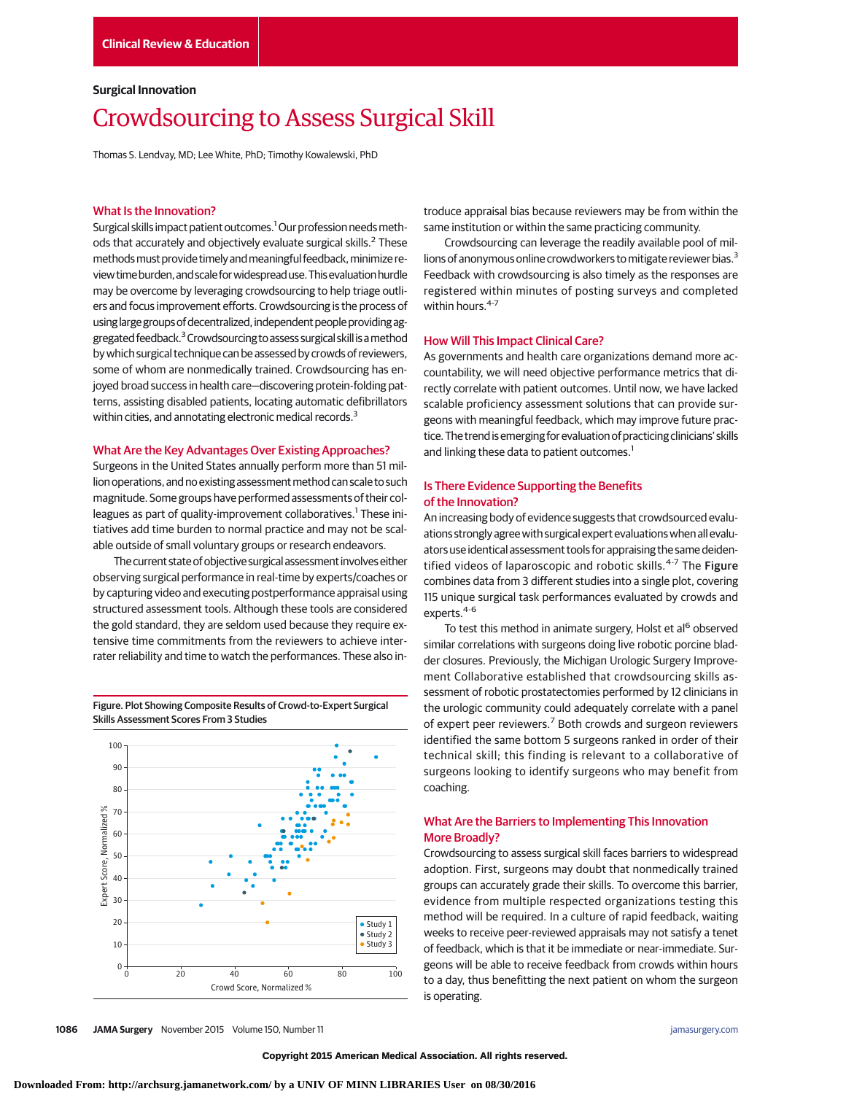### **Surgical Innovation**

# Crowdsourcing to Assess Surgical Skill

Thomas S. Lendvay, MD; Lee White, PhD; Timothy Kowalewski, PhD

#### What Is the Innovation?

Surgical skills impact patient outcomes.<sup>1</sup> Our profession needs methods that accurately and objectively evaluate surgical skills.<sup>2</sup> These methods must provide timely and meaningful feedback, minimize review time burden, and scale for widespread use. This evaluation hurdle may be overcome by leveraging crowdsourcing to help triage outliers and focus improvement efforts. Crowdsourcing is the process of using large groups of decentralized, independent people providing aggregated feedback.<sup>3</sup> Crowdsourcing to assess surgical skill is a method by which surgical technique can be assessed by crowds of reviewers, some of whom are nonmedically trained. Crowdsourcing has enjoyed broad success in health care—discovering protein-folding patterns, assisting disabled patients, locating automatic defibrillators within cities, and annotating electronic medical records.<sup>3</sup>

#### What Are the Key Advantages Over Existing Approaches?

Surgeons in the United States annually perform more than 51 million operations, and no existing assessment method can scale to such magnitude. Some groups have performed assessments of their colleagues as part of quality-improvement collaboratives.<sup>1</sup> These initiatives add time burden to normal practice and may not be scalable outside of small voluntary groups or research endeavors.

The current state of objective surgical assessment involves either observing surgical performance in real-time by experts/coaches or by capturing video and executing postperformance appraisal using structured assessment tools. Although these tools are considered the gold standard, they are seldom used because they require extensive time commitments from the reviewers to achieve interrater reliability and time to watch the performances. These also in-

Figure. Plot Showing Composite Results of Crowd-to-Expert Surgical Skills Assessment Scores From 3 Studies



troduce appraisal bias because reviewers may be from within the same institution or within the same practicing community.

Crowdsourcing can leverage the readily available pool of millions of anonymous online crowdworkers to mitigate reviewer bias.<sup>3</sup> Feedback with crowdsourcing is also timely as the responses are registered within minutes of posting surveys and completed within hours.<sup>4-7</sup>

# How Will This Impact Clinical Care?

As governments and health care organizations demand more accountability, we will need objective performance metrics that directly correlate with patient outcomes. Until now, we have lacked scalable proficiency assessment solutions that can provide surgeons with meaningful feedback, which may improve future practice. The trend isemerging forevaluation of practicing clinicians' skills and linking these data to patient outcomes.<sup>1</sup>

# Is There Evidence Supporting the Benefits of the Innovation?

An increasing body of evidence suggests that crowdsourced evaluations strongly agree with surgical expert evaluations when all evaluators use identical assessment tools for appraising the same deidentified videos of laparoscopic and robotic skills.<sup>4-7</sup> The Figure combines data from 3 different studies into a single plot, covering 115 unique surgical task performances evaluated by crowds and experts.<sup>4-6</sup>

To test this method in animate surgery, Holst et al<sup>6</sup> observed similar correlations with surgeons doing live robotic porcine bladder closures. Previously, the Michigan Urologic Surgery Improvement Collaborative established that crowdsourcing skills assessment of robotic prostatectomies performed by 12 clinicians in the urologic community could adequately correlate with a panel of expert peer reviewers.<sup>7</sup> Both crowds and surgeon reviewers identified the same bottom 5 surgeons ranked in order of their technical skill; this finding is relevant to a collaborative of surgeons looking to identify surgeons who may benefit from coaching.

# What Are the Barriers to Implementing This Innovation More Broadly?

Crowdsourcing to assess surgical skill faces barriers to widespread adoption. First, surgeons may doubt that nonmedically trained groups can accurately grade their skills. To overcome this barrier, evidence from multiple respected organizations testing this method will be required. In a culture of rapid feedback, waiting weeks to receive peer-reviewed appraisals may not satisfy a tenet of feedback, which is that it be immediate or near-immediate. Surgeons will be able to receive feedback from crowds within hours to a day, thus benefitting the next patient on whom the surgeon is operating.